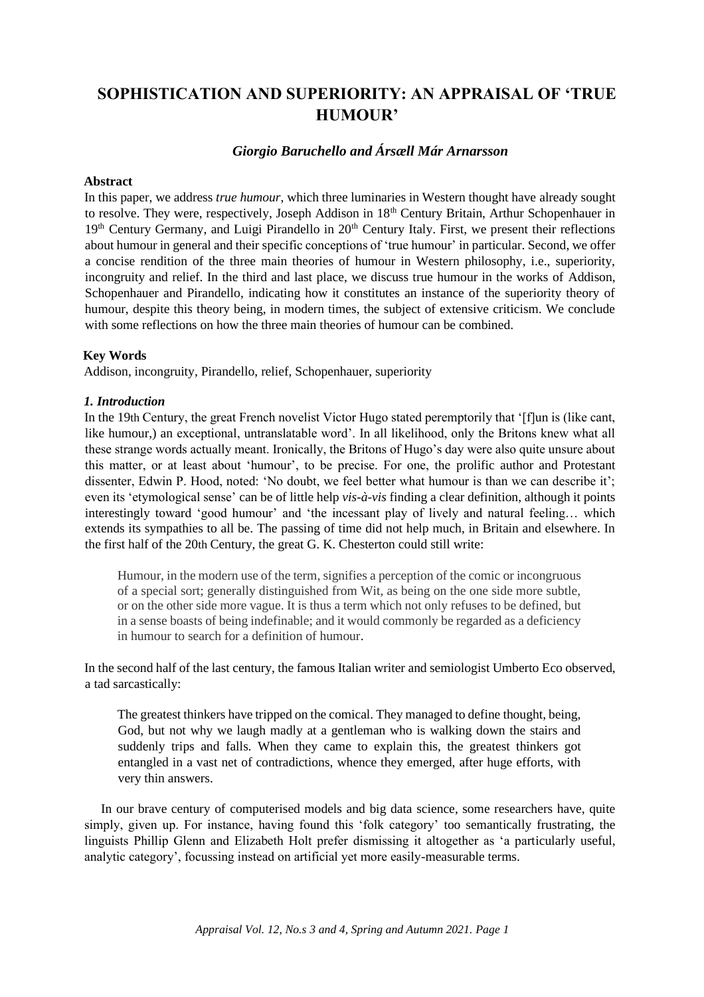# **SOPHISTICATION AND SUPERIORITY: AN APPRAISAL OF 'TRUE HUMOUR'**

# *Giorgio Baruchello and Ársæll Már Arnarsson*

# **Abstract**

In this paper, we address *true humour*, which three luminaries in Western thought have already sought to resolve. They were, respectively, Joseph Addison in 18<sup>th</sup> Century Britain, Arthur Schopenhauer in 19<sup>th</sup> Century Germany, and Luigi Pirandello in 20<sup>th</sup> Century Italy. First, we present their reflections about humour in general and their specific conceptions of 'true humour' in particular. Second, we offer a concise rendition of the three main theories of humour in Western philosophy, i.e., superiority, incongruity and relief. In the third and last place, we discuss true humour in the works of Addison, Schopenhauer and Pirandello, indicating how it constitutes an instance of the superiority theory of humour, despite this theory being, in modern times, the subject of extensive criticism. We conclude with some reflections on how the three main theories of humour can be combined.

## **Key Words**

Addison, incongruity, Pirandello, relief, Schopenhauer, superiority

# *1. Introduction*

In the 19th Century, the great French novelist Victor Hugo stated peremptorily that '[f]un is (like cant, like humour,) an exceptional, untranslatable word'. In all likelihood, only the Britons knew what all these strange words actually meant. Ironically, the Britons of Hugo's day were also quite unsure about this matter, or at least about 'humour', to be precise. For one, the prolific author and Protestant dissenter, Edwin P. Hood, noted: 'No doubt, we feel better what humour is than we can describe it'; even its 'etymological sense' can be of little help *vis-à-vis* finding a clear definition, although it points interestingly toward 'good humour' and 'the incessant play of lively and natural feeling… which extends its sympathies to all be. The passing of time did not help much, in Britain and elsewhere. In the first half of the 20th Century, the great G. K. Chesterton could still write:

Humour, in the modern use of the term, signifies a perception of the comic or incongruous of a special sort; generally distinguished from Wit, as being on the one side more subtle, or on the other side more vague. It is thus a term which not only refuses to be defined, but in a sense boasts of being indefinable; and it would commonly be regarded as a deficiency in humour to search for a definition of humour.

In the second half of the last century, the famous Italian writer and semiologist Umberto Eco observed, a tad sarcastically:

The greatest thinkers have tripped on the comical. They managed to define thought, being, God, but not why we laugh madly at a gentleman who is walking down the stairs and suddenly trips and falls. When they came to explain this, the greatest thinkers got entangled in a vast net of contradictions, whence they emerged, after huge efforts, with very thin answers.

In our brave century of computerised models and big data science, some researchers have, quite simply, given up. For instance, having found this 'folk category' too semantically frustrating, the linguists Phillip Glenn and Elizabeth Holt prefer dismissing it altogether as 'a particularly useful, analytic category', focussing instead on artificial yet more easily-measurable terms.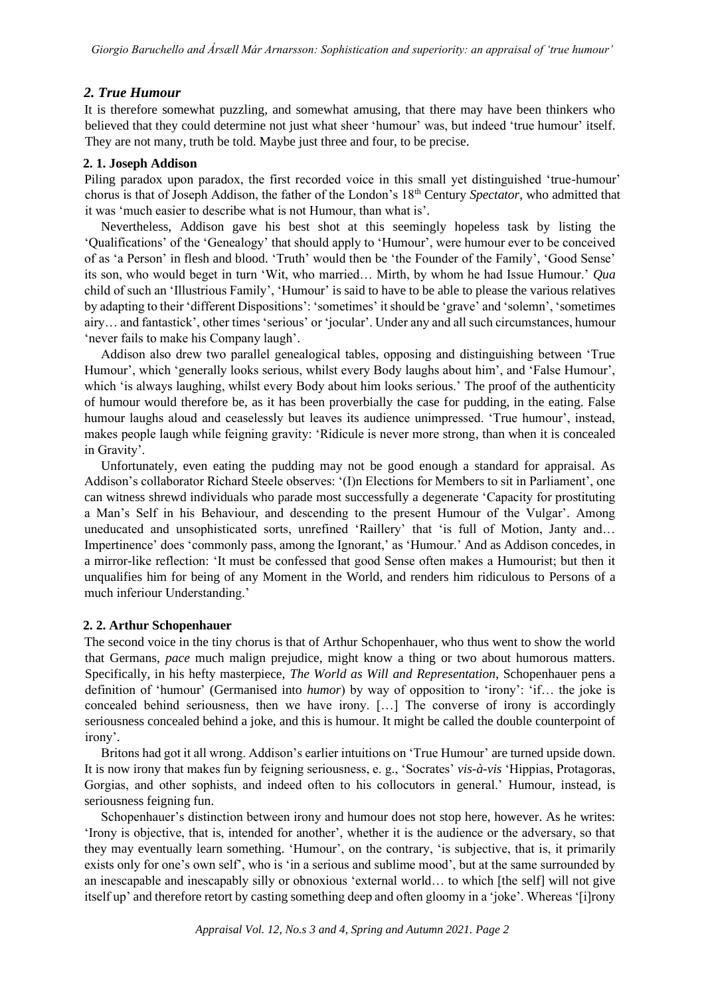# *2. True Humour*

It is therefore somewhat puzzling, and somewhat amusing, that there may have been thinkers who believed that they could determine not just what sheer 'humour' was, but indeed 'true humour' itself. They are not many, truth be told. Maybe just three and four, to be precise.

## **2. 1. Joseph Addison**

Piling paradox upon paradox, the first recorded voice in this small yet distinguished 'true-humour' chorus is that of Joseph Addison, the father of the London's 18th Century *Spectator*, who admitted that it was 'much easier to describe what is not Humour, than what is'.

Nevertheless, Addison gave his best shot at this seemingly hopeless task by listing the 'Qualifications' of the 'Genealogy' that should apply to 'Humour', were humour ever to be conceived of as 'a Person' in flesh and blood. 'Truth' would then be 'the Founder of the Family', 'Good Sense' its son, who would beget in turn 'Wit, who married… Mirth, by whom he had Issue Humour.' *Qua*  child of such an 'Illustrious Family', 'Humour' is said to have to be able to please the various relatives by adapting to their 'different Dispositions': 'sometimes' it should be 'grave' and 'solemn', 'sometimes airy… and fantastick', other times 'serious' or 'jocular'. Under any and all such circumstances, humour 'never fails to make his Company laugh'.

Addison also drew two parallel genealogical tables, opposing and distinguishing between 'True Humour', which 'generally looks serious, whilst every Body laughs about him', and 'False Humour', which 'is always laughing, whilst every Body about him looks serious.' The proof of the authenticity of humour would therefore be, as it has been proverbially the case for pudding, in the eating. False humour laughs aloud and ceaselessly but leaves its audience unimpressed. 'True humour', instead, makes people laugh while feigning gravity: 'Ridicule is never more strong, than when it is concealed in Gravity'.

Unfortunately, even eating the pudding may not be good enough a standard for appraisal. As Addison's collaborator Richard Steele observes: '(I)n Elections for Members to sit in Parliament', one can witness shrewd individuals who parade most successfully a degenerate 'Capacity for prostituting a Man's Self in his Behaviour, and descending to the present Humour of the Vulgar'. Among uneducated and unsophisticated sorts, unrefined 'Raillery' that 'is full of Motion, Janty and… Impertinence' does 'commonly pass, among the Ignorant,' as 'Humour.' And as Addison concedes, in a mirror-like reflection: 'It must be confessed that good Sense often makes a Humourist; but then it unqualifies him for being of any Moment in the World, and renders him ridiculous to Persons of a much inferiour Understanding.'

## **2. 2. Arthur Schopenhauer**

The second voice in the tiny chorus is that of Arthur Schopenhauer, who thus went to show the world that Germans, *pace* much malign prejudice, might know a thing or two about humorous matters. Specifically, in his hefty masterpiece, *The World as Will and Representation*, Schopenhauer pens a definition of 'humour' (Germanised into *humor*) by way of opposition to 'irony': 'if… the joke is concealed behind seriousness, then we have irony. […] The converse of irony is accordingly seriousness concealed behind a joke, and this is humour. It might be called the double counterpoint of irony'.

Britons had got it all wrong. Addison's earlier intuitions on 'True Humour' are turned upside down. It is now irony that makes fun by feigning seriousness, e. g., 'Socrates' *vis-à-vis* 'Hippias, Protagoras, Gorgias, and other sophists, and indeed often to his collocutors in general.' Humour, instead, is seriousness feigning fun.

Schopenhauer's distinction between irony and humour does not stop here, however. As he writes: 'Irony is objective, that is, intended for another', whether it is the audience or the adversary, so that they may eventually learn something. 'Humour', on the contrary, 'is subjective, that is, it primarily exists only for one's own self', who is 'in a serious and sublime mood', but at the same surrounded by an inescapable and inescapably silly or obnoxious 'external world… to which [the self] will not give itself up' and therefore retort by casting something deep and often gloomy in a 'joke'. Whereas '[i]rony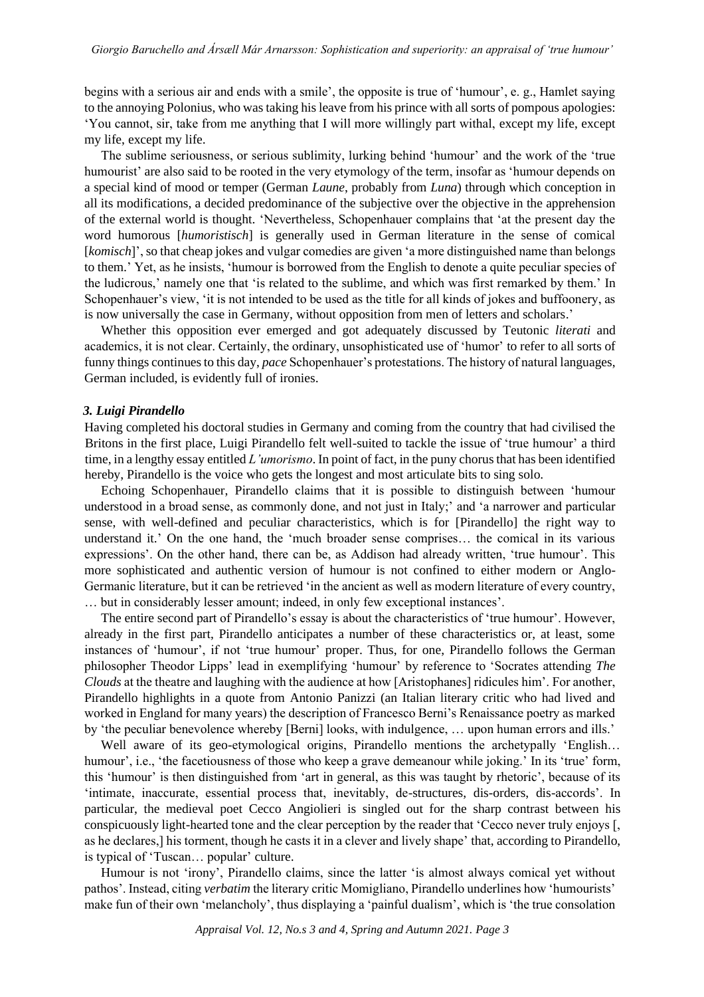begins with a serious air and ends with a smile', the opposite is true of 'humour', e. g., Hamlet saying to the annoying Polonius, who was taking his leave from his prince with all sorts of pompous apologies: 'You cannot, sir, take from me anything that I will more willingly part withal, except my life, except my life, except my life.

The sublime seriousness, or serious sublimity, lurking behind 'humour' and the work of the 'true humourist' are also said to be rooted in the very etymology of the term, insofar as 'humour depends on a special kind of mood or temper (German *Laune*, probably from *Luna*) through which conception in all its modifications, a decided predominance of the subjective over the objective in the apprehension of the external world is thought. 'Nevertheless, Schopenhauer complains that 'at the present day the word humorous [*humoristisch*] is generally used in German literature in the sense of comical [*komisch*]', so that cheap jokes and vulgar comedies are given 'a more distinguished name than belongs to them.' Yet, as he insists, 'humour is borrowed from the English to denote a quite peculiar species of the ludicrous,' namely one that 'is related to the sublime, and which was first remarked by them.' In Schopenhauer's view, 'it is not intended to be used as the title for all kinds of jokes and buffoonery, as is now universally the case in Germany, without opposition from men of letters and scholars.'

Whether this opposition ever emerged and got adequately discussed by Teutonic *literati* and academics, it is not clear. Certainly, the ordinary, unsophisticated use of 'humor' to refer to all sorts of funny things continues to this day, *pace* Schopenhauer's protestations. The history of natural languages, German included, is evidently full of ironies.

#### *3. Luigi Pirandello*

Having completed his doctoral studies in Germany and coming from the country that had civilised the Britons in the first place, Luigi Pirandello felt well-suited to tackle the issue of 'true humour' a third time, in a lengthy essay entitled *L'umorismo*. In point of fact, in the puny chorus that has been identified hereby, Pirandello is the voice who gets the longest and most articulate bits to sing solo.

Echoing Schopenhauer, Pirandello claims that it is possible to distinguish between 'humour understood in a broad sense, as commonly done, and not just in Italy;' and 'a narrower and particular sense, with well-defined and peculiar characteristics, which is for [Pirandello] the right way to understand it.' On the one hand, the 'much broader sense comprises… the comical in its various expressions'. On the other hand, there can be, as Addison had already written, 'true humour'. This more sophisticated and authentic version of humour is not confined to either modern or Anglo-Germanic literature, but it can be retrieved 'in the ancient as well as modern literature of every country, … but in considerably lesser amount; indeed, in only few exceptional instances'.

The entire second part of Pirandello's essay is about the characteristics of 'true humour'. However, already in the first part, Pirandello anticipates a number of these characteristics or, at least, some instances of 'humour', if not 'true humour' proper. Thus, for one, Pirandello follows the German philosopher Theodor Lipps' lead in exemplifying 'humour' by reference to 'Socrates attending *The Clouds* at the theatre and laughing with the audience at how [Aristophanes] ridicules him'. For another, Pirandello highlights in a quote from Antonio Panizzi (an Italian literary critic who had lived and worked in England for many years) the description of Francesco Berni's Renaissance poetry as marked by 'the peculiar benevolence whereby [Berni] looks, with indulgence, ... upon human errors and ills.'

Well aware of its geo-etymological origins, Pirandello mentions the archetypally 'English... humour', i.e., 'the facetiousness of those who keep a grave demeanour while joking.' In its 'true' form, this 'humour' is then distinguished from 'art in general, as this was taught by rhetoric', because of its 'intimate, inaccurate, essential process that, inevitably, de-structures, dis-orders, dis-accords'. In particular, the medieval poet Cecco Angiolieri is singled out for the sharp contrast between his conspicuously light-hearted tone and the clear perception by the reader that 'Cecco never truly enjoys [, as he declares,] his torment, though he casts it in a clever and lively shape' that, according to Pirandello, is typical of 'Tuscan… popular' culture.

Humour is not 'irony', Pirandello claims, since the latter 'is almost always comical yet without pathos'. Instead, citing *verbatim* the literary critic Momigliano, Pirandello underlines how 'humourists' make fun of their own 'melancholy', thus displaying a 'painful dualism', which is 'the true consolation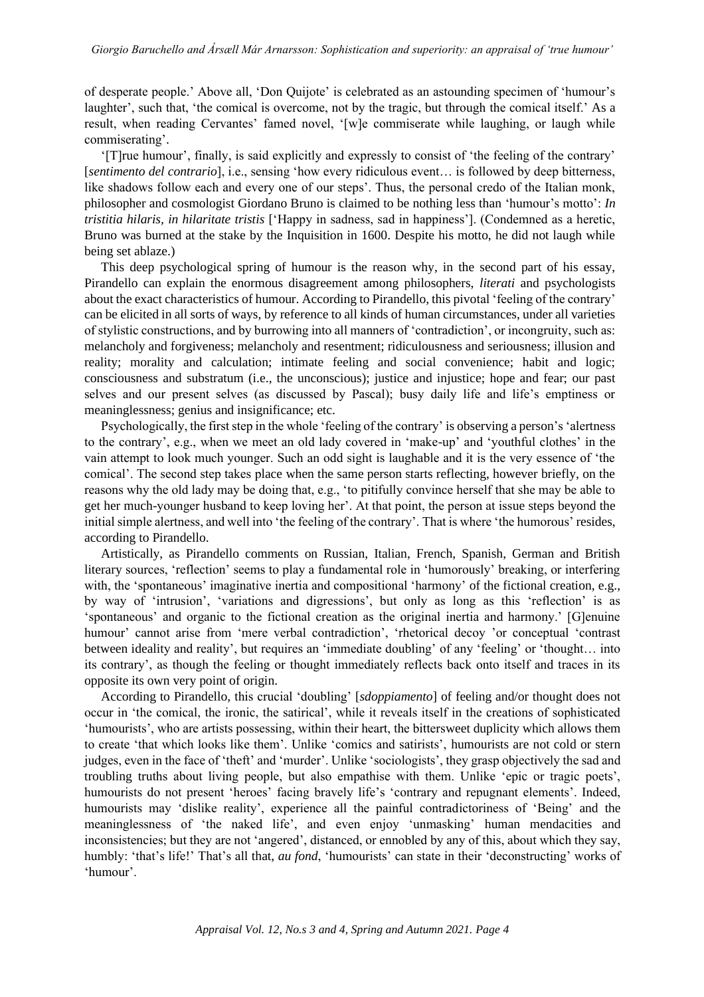of desperate people.' Above all, 'Don Quijote' is celebrated as an astounding specimen of 'humour's laughter', such that, 'the comical is overcome, not by the tragic, but through the comical itself.' As a result, when reading Cervantes' famed novel, '[w]e commiserate while laughing, or laugh while commiserating'.

'[T]rue humour', finally, is said explicitly and expressly to consist of 'the feeling of the contrary' [*sentimento del contrario*], i.e., sensing 'how every ridiculous event… is followed by deep bitterness, like shadows follow each and every one of our steps'. Thus, the personal credo of the Italian monk, philosopher and cosmologist Giordano Bruno is claimed to be nothing less than 'humour's motto': *In tristitia hilaris, in hilaritate tristis* ['Happy in sadness, sad in happiness']. (Condemned as a heretic, Bruno was burned at the stake by the Inquisition in 1600. Despite his motto, he did not laugh while being set ablaze.)

This deep psychological spring of humour is the reason why, in the second part of his essay, Pirandello can explain the enormous disagreement among philosophers, *literati* and psychologists about the exact characteristics of humour. According to Pirandello, this pivotal 'feeling of the contrary' can be elicited in all sorts of ways, by reference to all kinds of human circumstances, under all varieties of stylistic constructions, and by burrowing into all manners of 'contradiction', or incongruity, such as: melancholy and forgiveness; melancholy and resentment; ridiculousness and seriousness; illusion and reality; morality and calculation; intimate feeling and social convenience; habit and logic; consciousness and substratum (i.e., the unconscious); justice and injustice; hope and fear; our past selves and our present selves (as discussed by Pascal); busy daily life and life's emptiness or meaninglessness; genius and insignificance; etc.

Psychologically, the first step in the whole 'feeling of the contrary' is observing a person's 'alertness to the contrary', e.g., when we meet an old lady covered in 'make-up' and 'youthful clothes' in the vain attempt to look much younger. Such an odd sight is laughable and it is the very essence of 'the comical'. The second step takes place when the same person starts reflecting, however briefly, on the reasons why the old lady may be doing that, e.g., 'to pitifully convince herself that she may be able to get her much-younger husband to keep loving her'. At that point, the person at issue steps beyond the initial simple alertness, and well into 'the feeling of the contrary'. That is where 'the humorous' resides, according to Pirandello.

Artistically, as Pirandello comments on Russian, Italian, French, Spanish, German and British literary sources, 'reflection' seems to play a fundamental role in 'humorously' breaking, or interfering with, the 'spontaneous' imaginative inertia and compositional 'harmony' of the fictional creation, e.g., by way of 'intrusion', 'variations and digressions', but only as long as this 'reflection' is as 'spontaneous' and organic to the fictional creation as the original inertia and harmony.' [G]enuine humour' cannot arise from 'mere verbal contradiction', 'rhetorical decoy 'or conceptual 'contrast between ideality and reality', but requires an 'immediate doubling' of any 'feeling' or 'thought… into its contrary', as though the feeling or thought immediately reflects back onto itself and traces in its opposite its own very point of origin.

According to Pirandello, this crucial 'doubling' [*sdoppiamento*] of feeling and/or thought does not occur in 'the comical, the ironic, the satirical', while it reveals itself in the creations of sophisticated 'humourists', who are artists possessing, within their heart, the bittersweet duplicity which allows them to create 'that which looks like them'. Unlike 'comics and satirists', humourists are not cold or stern judges, even in the face of 'theft' and 'murder'. Unlike 'sociologists', they grasp objectively the sad and troubling truths about living people, but also empathise with them. Unlike 'epic or tragic poets', humourists do not present 'heroes' facing bravely life's 'contrary and repugnant elements'. Indeed, humourists may 'dislike reality', experience all the painful contradictoriness of 'Being' and the meaninglessness of 'the naked life', and even enjoy 'unmasking' human mendacities and inconsistencies; but they are not 'angered', distanced, or ennobled by any of this, about which they say, humbly: 'that's life!' That's all that, *au fond*, 'humourists' can state in their 'deconstructing' works of 'humour'.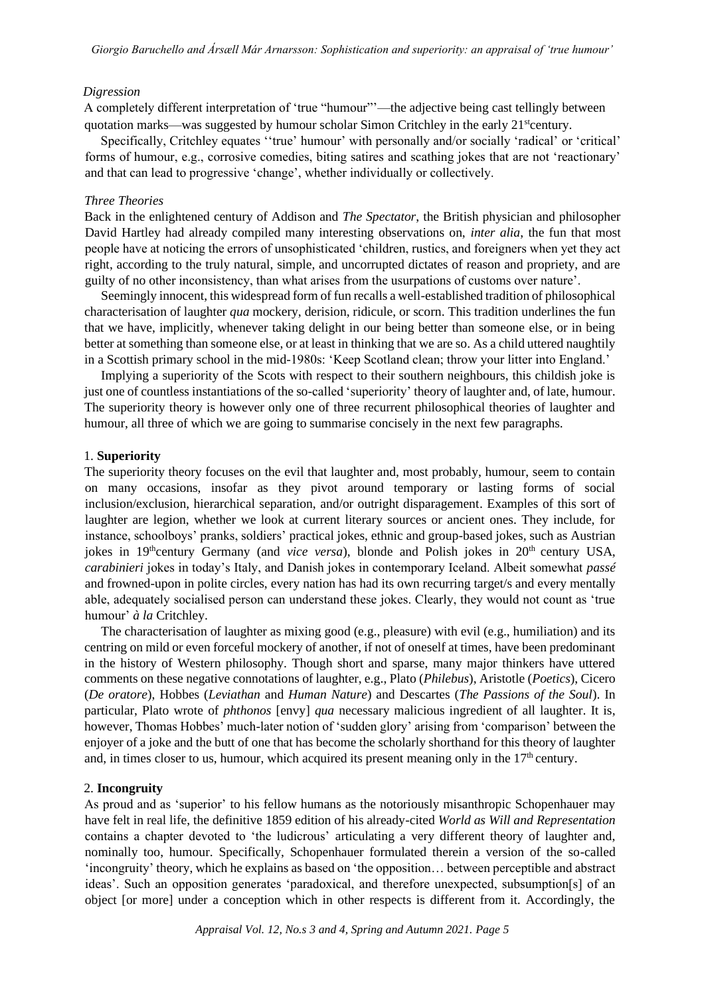#### *Digression*

A completely different interpretation of 'true "humour"'—the adjective being cast tellingly between quotation marks—was suggested by humour scholar Simon Critchley in the early 21<sup>st</sup>century.

Specifically, Critchley equates ''true' humour' with personally and/or socially 'radical' or 'critical' forms of humour, e.g., corrosive comedies, biting satires and scathing jokes that are not 'reactionary' and that can lead to progressive 'change', whether individually or collectively.

## *Three Theories*

Back in the enlightened century of Addison and *The Spectator*, the British physician and philosopher David Hartley had already compiled many interesting observations on, *inter alia*, the fun that most people have at noticing the errors of unsophisticated 'children, rustics, and foreigners when yet they act right, according to the truly natural, simple, and uncorrupted dictates of reason and propriety, and are guilty of no other inconsistency, than what arises from the usurpations of customs over nature'.

Seemingly innocent, this widespread form of fun recalls a well-established tradition of philosophical characterisation of laughter *qua* mockery, derision, ridicule, or scorn. This tradition underlines the fun that we have, implicitly, whenever taking delight in our being better than someone else, or in being better at something than someone else, or at least in thinking that we are so. As a child uttered naughtily in a Scottish primary school in the mid-1980s: 'Keep Scotland clean; throw your litter into England.'

Implying a superiority of the Scots with respect to their southern neighbours, this childish joke is just one of countless instantiations of the so-called 'superiority' theory of laughter and, of late, humour. The superiority theory is however only one of three recurrent philosophical theories of laughter and humour, all three of which we are going to summarise concisely in the next few paragraphs.

## 1. **Superiority**

The superiority theory focuses on the evil that laughter and, most probably, humour, seem to contain on many occasions, insofar as they pivot around temporary or lasting forms of social inclusion/exclusion, hierarchical separation, and/or outright disparagement. Examples of this sort of laughter are legion, whether we look at current literary sources or ancient ones. They include, for instance, schoolboys' pranks, soldiers' practical jokes, ethnic and group-based jokes, such as Austrian jokes in 19<sup>th</sup>century Germany (and *vice versa*), blonde and Polish jokes in 20<sup>th</sup> century USA, *carabinieri* jokes in today's Italy, and Danish jokes in contemporary Iceland. Albeit somewhat *passé* and frowned-upon in polite circles, every nation has had its own recurring target/s and every mentally able, adequately socialised person can understand these jokes. Clearly, they would not count as 'true humour' *à la* Critchley.

The characterisation of laughter as mixing good (e.g., pleasure) with evil (e.g., humiliation) and its centring on mild or even forceful mockery of another, if not of oneself at times, have been predominant in the history of Western philosophy. Though short and sparse, many major thinkers have uttered comments on these negative connotations of laughter, e.g., Plato (*Philebus*), Aristotle (*Poetics*), Cicero (*De oratore*), Hobbes (*Leviathan* and *Human Nature*) and Descartes (*The Passions of the Soul*). In particular, Plato wrote of *phthonos* [envy] *qua* necessary malicious ingredient of all laughter. It is, however, Thomas Hobbes' much-later notion of 'sudden glory' arising from 'comparison' between the enjoyer of a joke and the butt of one that has become the scholarly shorthand for this theory of laughter and, in times closer to us, humour, which acquired its present meaning only in the  $17<sup>th</sup>$  century.

## 2. **Incongruity**

As proud and as 'superior' to his fellow humans as the notoriously misanthropic Schopenhauer may have felt in real life, the definitive 1859 edition of his already-cited *World as Will and Representation* contains a chapter devoted to 'the ludicrous' articulating a very different theory of laughter and, nominally too, humour. Specifically, Schopenhauer formulated therein a version of the so-called 'incongruity' theory, which he explains as based on 'the opposition… between perceptible and abstract ideas'. Such an opposition generates 'paradoxical, and therefore unexpected, subsumption[s] of an object [or more] under a conception which in other respects is different from it. Accordingly, the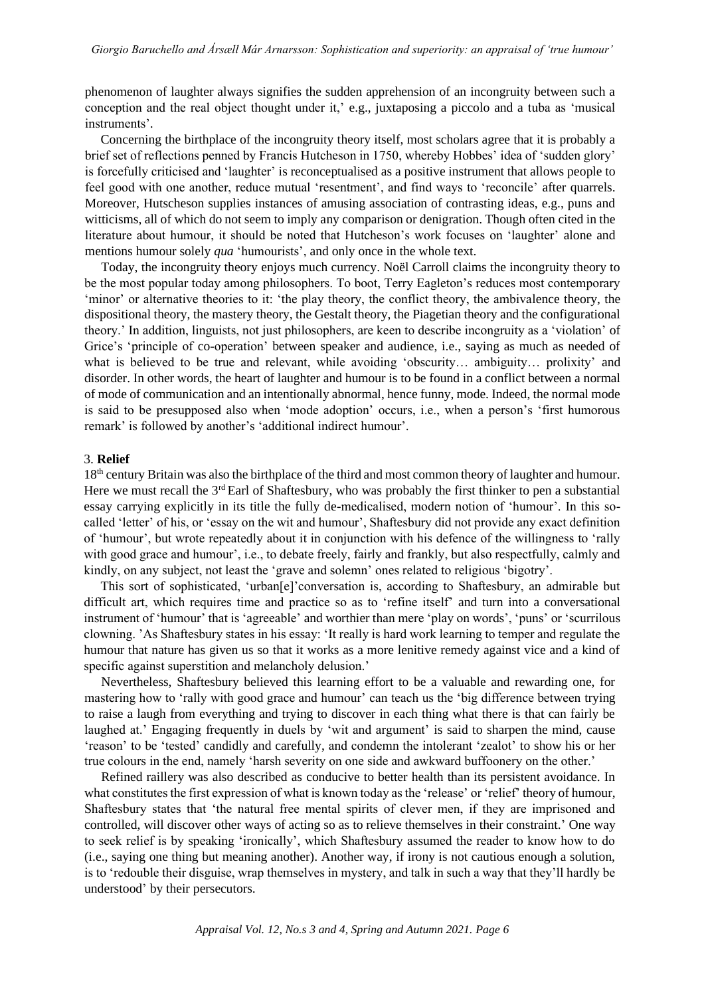phenomenon of laughter always signifies the sudden apprehension of an incongruity between such a conception and the real object thought under it,' e.g., juxtaposing a piccolo and a tuba as 'musical instruments'.

Concerning the birthplace of the incongruity theory itself, most scholars agree that it is probably a brief set of reflections penned by Francis Hutcheson in 1750, whereby Hobbes' idea of 'sudden glory' is forcefully criticised and 'laughter' is reconceptualised as a positive instrument that allows people to feel good with one another, reduce mutual 'resentment', and find ways to 'reconcile' after quarrels. Moreover, Hutscheson supplies instances of amusing association of contrasting ideas, e.g., puns and witticisms, all of which do not seem to imply any comparison or denigration. Though often cited in the literature about humour, it should be noted that Hutcheson's work focuses on 'laughter' alone and mentions humour solely *qua* 'humourists', and only once in the whole text.

Today, the incongruity theory enjoys much currency. Noël Carroll claims the incongruity theory to be the most popular today among philosophers. To boot, Terry Eagleton's reduces most contemporary 'minor' or alternative theories to it: 'the play theory, the conflict theory, the ambivalence theory, the dispositional theory, the mastery theory, the Gestalt theory, the Piagetian theory and the configurational theory.' In addition, linguists, not just philosophers, are keen to describe incongruity as a 'violation' of Grice's 'principle of co-operation' between speaker and audience, i.e., saying as much as needed of what is believed to be true and relevant, while avoiding 'obscurity… ambiguity… prolixity' and disorder. In other words, the heart of laughter and humour is to be found in a conflict between a normal of mode of communication and an intentionally abnormal, hence funny, mode. Indeed, the normal mode is said to be presupposed also when 'mode adoption' occurs, i.e., when a person's 'first humorous remark' is followed by another's 'additional indirect humour'.

# 3. **Relief**

18th century Britain was also the birthplace of the third and most common theory of laughter and humour. Here we must recall the 3<sup>rd</sup> Earl of Shaftesbury, who was probably the first thinker to pen a substantial essay carrying explicitly in its title the fully de-medicalised, modern notion of 'humour'. In this socalled 'letter' of his, or 'essay on the wit and humour', Shaftesbury did not provide any exact definition of 'humour', but wrote repeatedly about it in conjunction with his defence of the willingness to 'rally with good grace and humour', i.e., to debate freely, fairly and frankly, but also respectfully, calmly and kindly, on any subject, not least the 'grave and solemn' ones related to religious 'bigotry'.

This sort of sophisticated, 'urban[e]'conversation is, according to Shaftesbury, an admirable but difficult art, which requires time and practice so as to 'refine itself' and turn into a conversational instrument of 'humour' that is 'agreeable' and worthier than mere 'play on words', 'puns' or 'scurrilous clowning. 'As Shaftesbury states in his essay: 'It really is hard work learning to temper and regulate the humour that nature has given us so that it works as a more lenitive remedy against vice and a kind of specific against superstition and melancholy delusion.'

Nevertheless, Shaftesbury believed this learning effort to be a valuable and rewarding one, for mastering how to 'rally with good grace and humour' can teach us the 'big difference between trying to raise a laugh from everything and trying to discover in each thing what there is that can fairly be laughed at.' Engaging frequently in duels by 'wit and argument' is said to sharpen the mind, cause 'reason' to be 'tested' candidly and carefully, and condemn the intolerant 'zealot' to show his or her true colours in the end, namely 'harsh severity on one side and awkward buffoonery on the other.'

Refined raillery was also described as conducive to better health than its persistent avoidance. In what constitutes the first expression of what is known today as the 'release' or 'relief' theory of humour, Shaftesbury states that 'the natural free mental spirits of clever men, if they are imprisoned and controlled, will discover other ways of acting so as to relieve themselves in their constraint.' One way to seek relief is by speaking 'ironically', which Shaftesbury assumed the reader to know how to do (i.e., saying one thing but meaning another). Another way, if irony is not cautious enough a solution, is to 'redouble their disguise, wrap themselves in mystery, and talk in such a way that they'll hardly be understood' by their persecutors.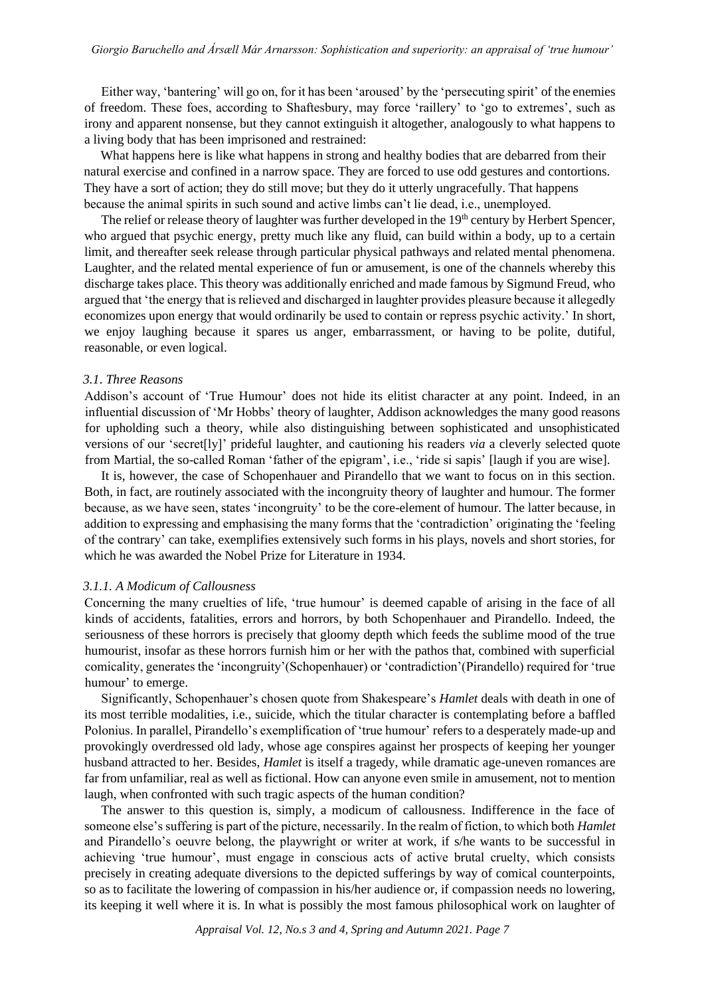Either way, 'bantering' will go on, for it has been 'aroused' by the 'persecuting spirit' of the enemies of freedom. These foes, according to Shaftesbury, may force 'raillery' to 'go to extremes', such as irony and apparent nonsense, but they cannot extinguish it altogether, analogously to what happens to a living body that has been imprisoned and restrained:

What happens here is like what happens in strong and healthy bodies that are debarred from their natural exercise and confined in a narrow space. They are forced to use odd gestures and contortions. They have a sort of action; they do still move; but they do it utterly ungracefully. That happens because the animal spirits in such sound and active limbs can't lie dead, i.e., unemployed.

The relief or release theory of laughter was further developed in the 19<sup>th</sup> century by Herbert Spencer, who argued that psychic energy, pretty much like any fluid, can build within a body, up to a certain limit, and thereafter seek release through particular physical pathways and related mental phenomena. Laughter, and the related mental experience of fun or amusement, is one of the channels whereby this discharge takes place. This theory was additionally enriched and made famous by Sigmund Freud, who argued that 'the energy that is relieved and discharged in laughter provides pleasure because it allegedly economizes upon energy that would ordinarily be used to contain or repress psychic activity.' In short, we enjoy laughing because it spares us anger, embarrassment, or having to be polite, dutiful, reasonable, or even logical.

#### *3.1*. *Three Reasons*

Addison's account of 'True Humour' does not hide its elitist character at any point. Indeed, in an influential discussion of 'Mr Hobbs' theory of laughter, Addison acknowledges the many good reasons for upholding such a theory, while also distinguishing between sophisticated and unsophisticated versions of our 'secret[ly]' prideful laughter, and cautioning his readers *via* a cleverly selected quote from Martial, the so-called Roman 'father of the epigram', i.e., 'ride si sapis' [laugh if you are wise].

It is, however, the case of Schopenhauer and Pirandello that we want to focus on in this section. Both, in fact, are routinely associated with the incongruity theory of laughter and humour. The former because, as we have seen, states 'incongruity' to be the core-element of humour. The latter because, in addition to expressing and emphasising the many forms that the 'contradiction' originating the 'feeling of the contrary' can take, exemplifies extensively such forms in his plays, novels and short stories, for which he was awarded the Nobel Prize for Literature in 1934.

#### *3.1.1. A Modicum of Callousness*

Concerning the many cruelties of life, 'true humour' is deemed capable of arising in the face of all kinds of accidents, fatalities, errors and horrors, by both Schopenhauer and Pirandello. Indeed, the seriousness of these horrors is precisely that gloomy depth which feeds the sublime mood of the true humourist, insofar as these horrors furnish him or her with the pathos that, combined with superficial comicality, generates the 'incongruity'(Schopenhauer) or 'contradiction'(Pirandello) required for 'true humour' to emerge.

Significantly, Schopenhauer's chosen quote from Shakespeare's *Hamlet* deals with death in one of its most terrible modalities, i.e., suicide, which the titular character is contemplating before a baffled Polonius. In parallel, Pirandello's exemplification of 'true humour' refers to a desperately made-up and provokingly overdressed old lady, whose age conspires against her prospects of keeping her younger husband attracted to her. Besides, *Hamlet* is itself a tragedy, while dramatic age-uneven romances are far from unfamiliar, real as well as fictional. How can anyone even smile in amusement, not to mention laugh, when confronted with such tragic aspects of the human condition?

The answer to this question is, simply, a modicum of callousness. Indifference in the face of someone else's suffering is part of the picture, necessarily. In the realm of fiction, to which both *Hamlet*  and Pirandello's oeuvre belong, the playwright or writer at work, if s/he wants to be successful in achieving 'true humour', must engage in conscious acts of active brutal cruelty, which consists precisely in creating adequate diversions to the depicted sufferings by way of comical counterpoints, so as to facilitate the lowering of compassion in his/her audience or, if compassion needs no lowering, its keeping it well where it is. In what is possibly the most famous philosophical work on laughter of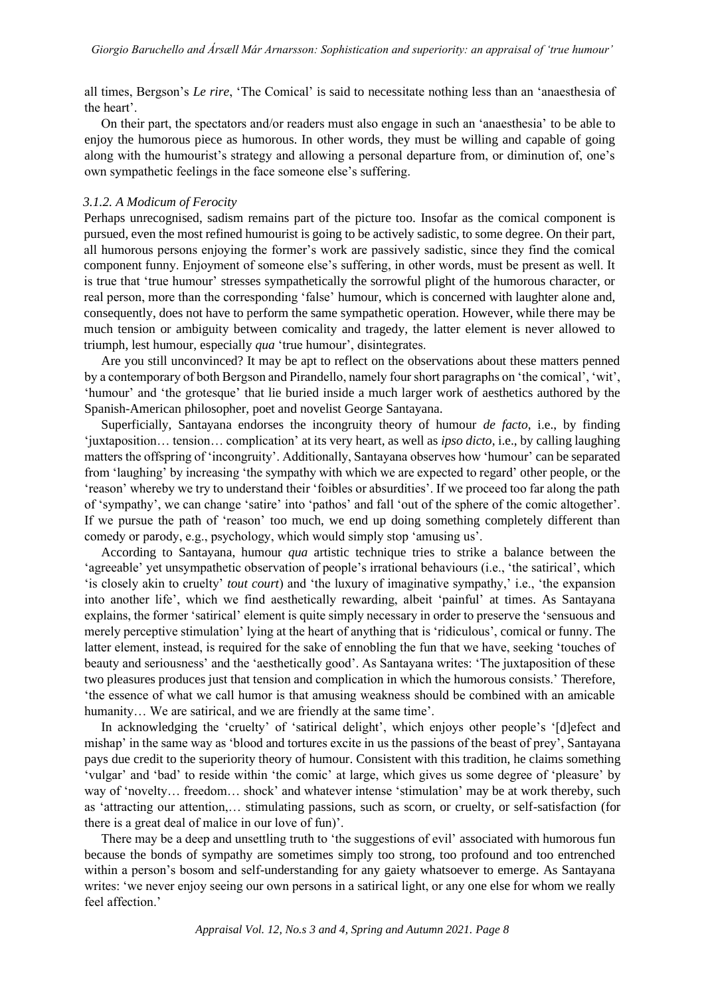all times, Bergson's *Le rire*, 'The Comical' is said to necessitate nothing less than an 'anaesthesia of the heart'.

On their part, the spectators and/or readers must also engage in such an 'anaesthesia' to be able to enjoy the humorous piece as humorous. In other words, they must be willing and capable of going along with the humourist's strategy and allowing a personal departure from, or diminution of, one's own sympathetic feelings in the face someone else's suffering.

## *3.1.2. A Modicum of Ferocity*

Perhaps unrecognised, sadism remains part of the picture too. Insofar as the comical component is pursued, even the most refined humourist is going to be actively sadistic, to some degree. On their part, all humorous persons enjoying the former's work are passively sadistic, since they find the comical component funny. Enjoyment of someone else's suffering, in other words, must be present as well. It is true that 'true humour' stresses sympathetically the sorrowful plight of the humorous character, or real person, more than the corresponding 'false' humour, which is concerned with laughter alone and, consequently, does not have to perform the same sympathetic operation. However, while there may be much tension or ambiguity between comicality and tragedy, the latter element is never allowed to triumph, lest humour, especially *qua* 'true humour', disintegrates.

Are you still unconvinced? It may be apt to reflect on the observations about these matters penned by a contemporary of both Bergson and Pirandello, namely four short paragraphs on 'the comical', 'wit', 'humour' and 'the grotesque' that lie buried inside a much larger work of aesthetics authored by the Spanish-American philosopher, poet and novelist George Santayana.

Superficially, Santayana endorses the incongruity theory of humour *de facto*, i.e., by finding 'juxtaposition… tension… complication' at its very heart, as well as *ipso dicto*, i.e., by calling laughing matters the offspring of 'incongruity'. Additionally, Santayana observes how 'humour' can be separated from 'laughing' by increasing 'the sympathy with which we are expected to regard' other people, or the 'reason' whereby we try to understand their 'foibles or absurdities'. If we proceed too far along the path of 'sympathy', we can change 'satire' into 'pathos' and fall 'out of the sphere of the comic altogether'. If we pursue the path of 'reason' too much, we end up doing something completely different than comedy or parody, e.g., psychology, which would simply stop 'amusing us'.

According to Santayana, humour *qua* artistic technique tries to strike a balance between the 'agreeable' yet unsympathetic observation of people's irrational behaviours (i.e., 'the satirical', which 'is closely akin to cruelty' *tout court*) and 'the luxury of imaginative sympathy,' i.e., 'the expansion into another life', which we find aesthetically rewarding, albeit 'painful' at times. As Santayana explains, the former 'satirical' element is quite simply necessary in order to preserve the 'sensuous and merely perceptive stimulation' lying at the heart of anything that is 'ridiculous', comical or funny. The latter element, instead, is required for the sake of ennobling the fun that we have, seeking 'touches of beauty and seriousness' and the 'aesthetically good'. As Santayana writes: 'The juxtaposition of these two pleasures produces just that tension and complication in which the humorous consists.' Therefore, 'the essence of what we call humor is that amusing weakness should be combined with an amicable humanity... We are satirical, and we are friendly at the same time'.

In acknowledging the 'cruelty' of 'satirical delight', which enjoys other people's '[d]efect and mishap' in the same way as 'blood and tortures excite in us the passions of the beast of prey', Santayana pays due credit to the superiority theory of humour. Consistent with this tradition, he claims something 'vulgar' and 'bad' to reside within 'the comic' at large, which gives us some degree of 'pleasure' by way of 'novelty… freedom… shock' and whatever intense 'stimulation' may be at work thereby, such as 'attracting our attention,… stimulating passions, such as scorn, or cruelty, or self-satisfaction (for there is a great deal of malice in our love of fun)'.

There may be a deep and unsettling truth to 'the suggestions of evil' associated with humorous fun because the bonds of sympathy are sometimes simply too strong, too profound and too entrenched within a person's bosom and self-understanding for any gaiety whatsoever to emerge. As Santayana writes: 'we never enjoy seeing our own persons in a satirical light, or any one else for whom we really feel affection.'